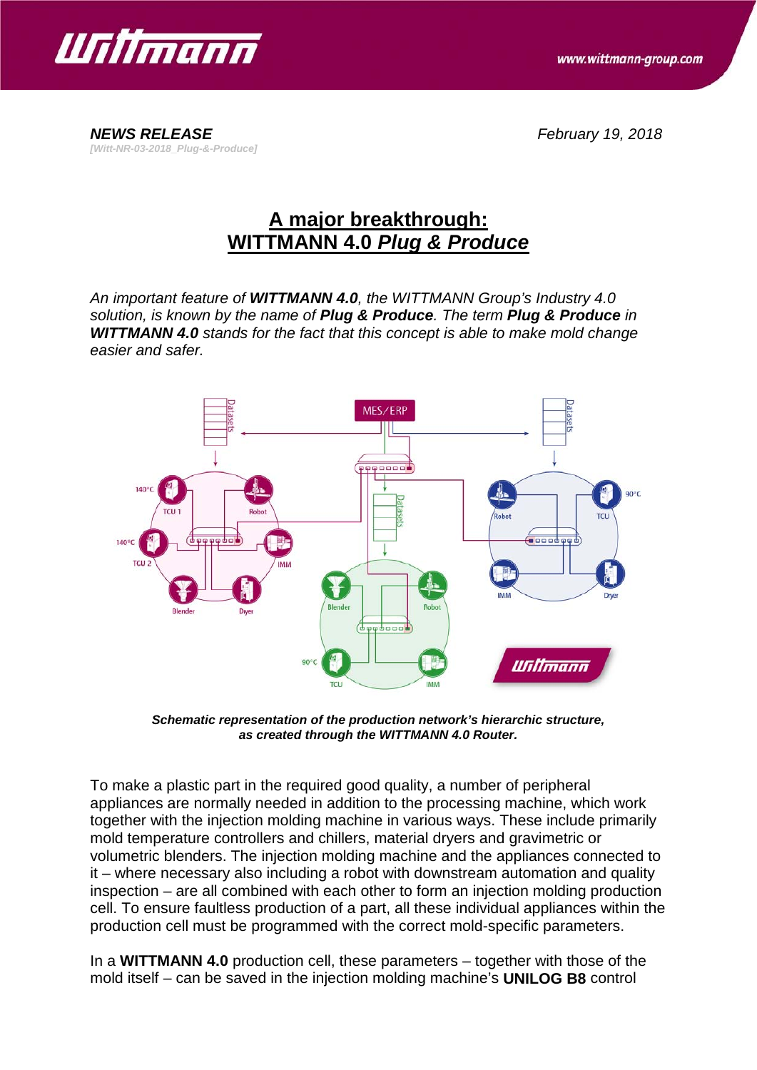

*[Witt-NR-03-2018\_Plug-&-Produce]*

*NEWS RELEASE February 19, 2018*

## **A major breakthrough: WITTMANN 4.0** *Plug & Produce*

*An important feature of WITTMANN 4.0, the WITTMANN Group's Industry 4.0 solution, is known by the name of Plug & Produce. The term Plug & Produce in WITTMANN 4.0 stands for the fact that this concept is able to make mold change easier and safer.*



*Schematic representation of the production network's hierarchic structure, as created through the WITTMANN 4.0 Router.*

To make a plastic part in the required good quality, a number of peripheral appliances are normally needed in addition to the processing machine, which work together with the injection molding machine in various ways. These include primarily mold temperature controllers and chillers, material dryers and gravimetric or volumetric blenders. The injection molding machine and the appliances connected to it – where necessary also including a robot with downstream automation and quality inspection – are all combined with each other to form an injection molding production cell. To ensure faultless production of a part, all these individual appliances within the production cell must be programmed with the correct mold-specific parameters.

In a **WITTMANN 4.0** production cell, these parameters – together with those of the mold itself – can be saved in the injection molding machine's **UNILOG B8** control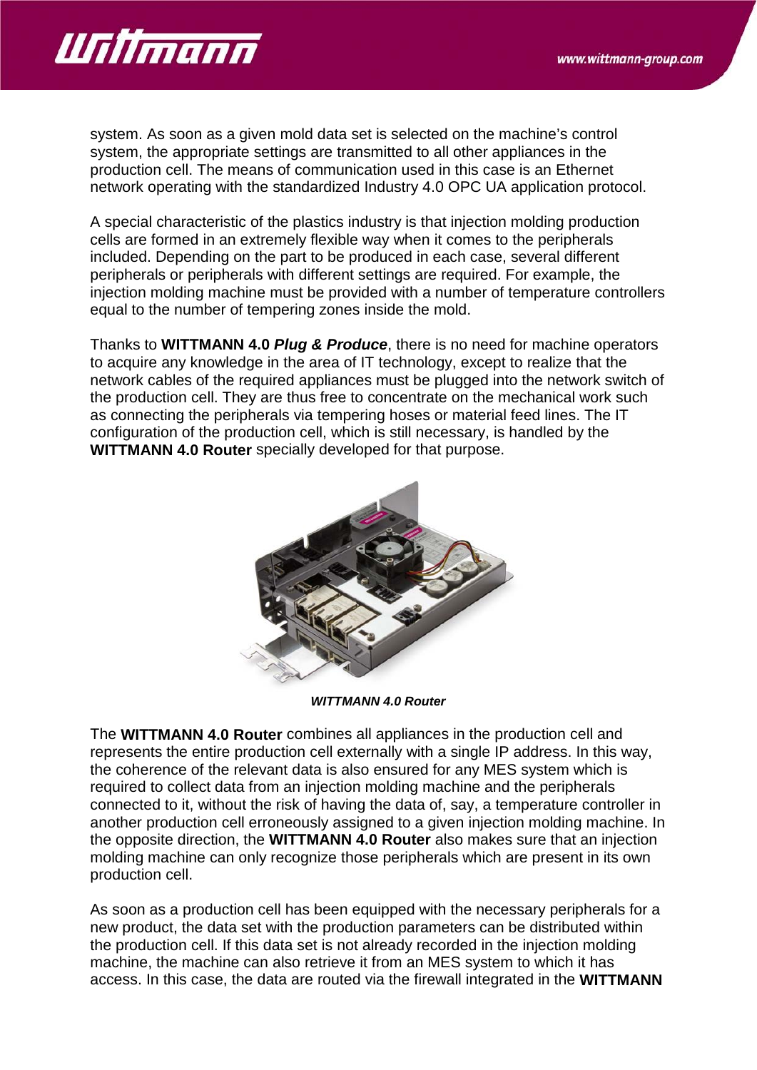

system. As soon as a given mold data set is selected on the machine's control system, the appropriate settings are transmitted to all other appliances in the production cell. The means of communication used in this case is an Ethernet network operating with the standardized Industry 4.0 OPC UA application protocol.

A special characteristic of the plastics industry is that injection molding production cells are formed in an extremely flexible way when it comes to the peripherals included. Depending on the part to be produced in each case, several different peripherals or peripherals with different settings are required. For example, the injection molding machine must be provided with a number of temperature controllers equal to the number of tempering zones inside the mold.

Thanks to **WITTMANN 4.0** *Plug & Produce*, there is no need for machine operators to acquire any knowledge in the area of IT technology, except to realize that the network cables of the required appliances must be plugged into the network switch of the production cell. They are thus free to concentrate on the mechanical work such as connecting the peripherals via tempering hoses or material feed lines. The IT configuration of the production cell, which is still necessary, is handled by the **WITTMANN 4.0 Router** specially developed for that purpose.



*WITTMANN 4.0 Router*

The **WITTMANN 4.0 Router** combines all appliances in the production cell and represents the entire production cell externally with a single IP address. In this way, the coherence of the relevant data is also ensured for any MES system which is required to collect data from an injection molding machine and the peripherals connected to it, without the risk of having the data of, say, a temperature controller in another production cell erroneously assigned to a given injection molding machine. In the opposite direction, the **WITTMANN 4.0 Router** also makes sure that an injection molding machine can only recognize those peripherals which are present in its own production cell.

As soon as a production cell has been equipped with the necessary peripherals for a new product, the data set with the production parameters can be distributed within the production cell. If this data set is not already recorded in the injection molding machine, the machine can also retrieve it from an MES system to which it has access. In this case, the data are routed via the firewall integrated in the **WITTMANN**